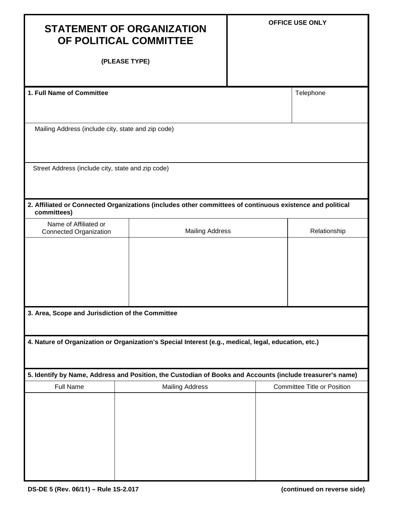| <b>STATEMENT OF ORGANIZATION</b><br>OF POLITICAL COMMITTEE                                                               |                        | <b>OFFICE USE ONLY</b> |                                    |  |  |
|--------------------------------------------------------------------------------------------------------------------------|------------------------|------------------------|------------------------------------|--|--|
| (PLEASE TYPE)                                                                                                            |                        |                        |                                    |  |  |
| 1. Full Name of Committee                                                                                                |                        |                        | Telephone                          |  |  |
| Mailing Address (include city, state and zip code)                                                                       |                        |                        |                                    |  |  |
| Street Address (include city, state and zip code)                                                                        |                        |                        |                                    |  |  |
| 2. Affiliated or Connected Organizations (includes other committees of continuous existence and political<br>committees) |                        |                        |                                    |  |  |
| Name of Affiliated or<br><b>Connected Organization</b>                                                                   |                        | <b>Mailing Address</b> |                                    |  |  |
|                                                                                                                          |                        |                        |                                    |  |  |
| 3. Area, Scope and Jurisdiction of the Committee                                                                         |                        |                        |                                    |  |  |
| 4. Nature of Organization or Organization's Special Interest (e.g., medical, legal, education, etc.)                     |                        |                        |                                    |  |  |
| 5. Identify by Name, Address and Position, the Custodian of Books and Accounts (include treasurer's name)                |                        |                        |                                    |  |  |
| <b>Full Name</b>                                                                                                         | <b>Mailing Address</b> |                        | <b>Committee Title or Position</b> |  |  |